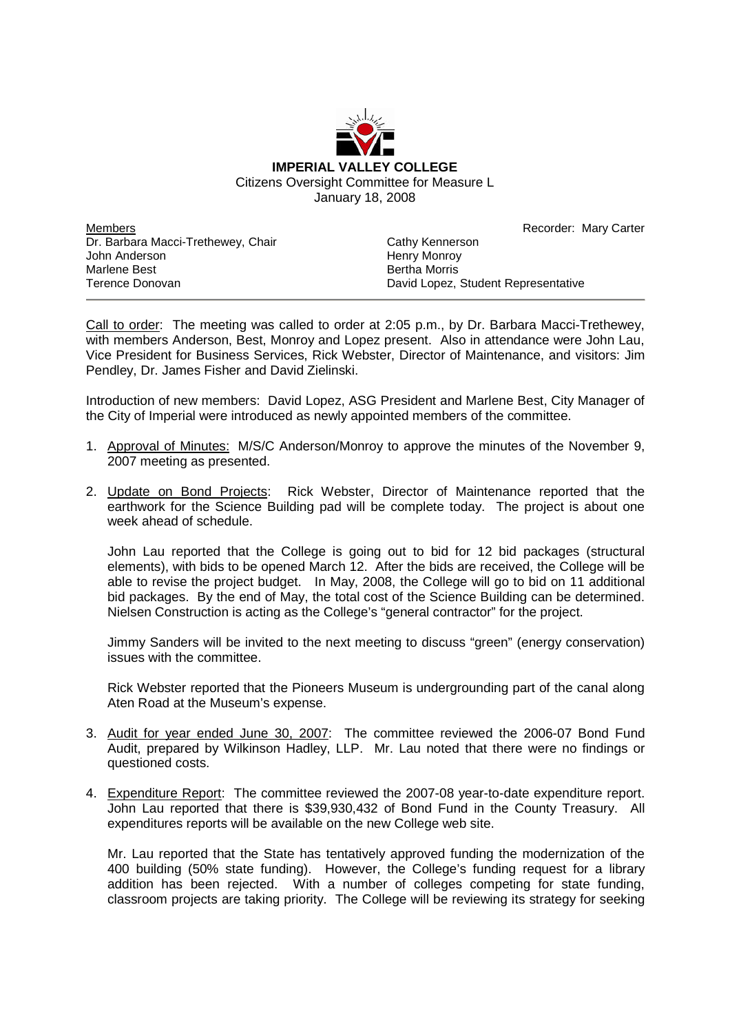

Members Dr. Barbara Macci-Trethewey, Chair John Anderson Marlene Best Terence Donovan

Recorder: Mary Carter

Cathy Kennerson Henry Monroy Bertha Morris David Lopez, Student Representative

Call to order: The meeting was called to order at 2:05 p.m., by Dr. Barbara Macci-Trethewey, with members Anderson, Best, Monroy and Lopez present. Also in attendance were John Lau, Vice President for Business Services, Rick Webster, Director of Maintenance, and visitors: Jim Pendley, Dr. James Fisher and David Zielinski.

Introduction of new members: David Lopez, ASG President and Marlene Best, City Manager of the City of Imperial were introduced as newly appointed members of the committee.

- 1. Approval of Minutes: M/S/C Anderson/Monroy to approve the minutes of the November 9, 2007 meeting as presented.
- 2. Update on Bond Projects: Rick Webster, Director of Maintenance reported that the earthwork for the Science Building pad will be complete today. The project is about one week ahead of schedule.

John Lau reported that the College is going out to bid for 12 bid packages (structural elements), with bids to be opened March 12. After the bids are received, the College will be able to revise the project budget. In May, 2008, the College will go to bid on 11 additional bid packages. By the end of May, the total cost of the Science Building can be determined. Nielsen Construction is acting as the College's "general contractor" for the project.

Jimmy Sanders will be invited to the next meeting to discuss "green" (energy conservation) issues with the committee.

Rick Webster reported that the Pioneers Museum is undergrounding part of the canal along Aten Road at the Museum's expense.

- 3. Audit for year ended June 30, 2007: The committee reviewed the 2006-07 Bond Fund Audit, prepared by Wilkinson Hadley, LLP. Mr. Lau noted that there were no findings or questioned costs.
- 4. Expenditure Report: The committee reviewed the 2007-08 year-to-date expenditure report. John Lau reported that there is \$39,930,432 of Bond Fund in the County Treasury. All expenditures reports will be available on the new College web site.

Mr. Lau reported that the State has tentatively approved funding the modernization of the 400 building (50% state funding). However, the College's funding request for a library addition has been rejected. With a number of colleges competing for state funding, classroom projects are taking priority. The College will be reviewing its strategy for seeking